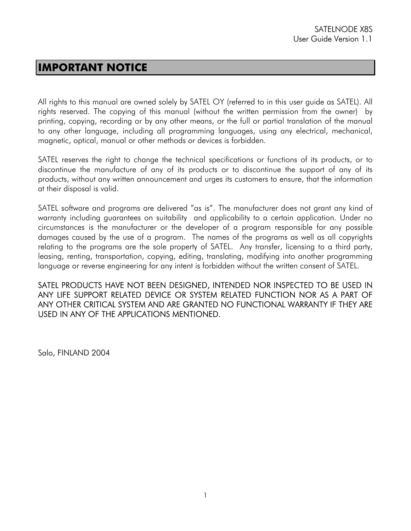### **IMPORTANT NOTICE**

All rights to this manual are owned solely by SATEL OY (referred to in this user guide as SATEL). All rights reserved. The copying of this manual (without the written permission from the owner) by printing, copying, recording or by any other means, or the full or partial translation of the manual to any other language, including all programming languages, using any electrical, mechanical, magnetic, optical, manual or other methods or devices is forbidden.

SATEL reserves the right to change the technical specifications or functions of its products, or to discontinue the manufacture of any of its products or to discontinue the support of any of its products, without any written announcement and urges its customers to ensure, that the information at their disposal is valid.

SATEL software and programs are delivered "as is". The manufacturer does not grant any kind of warranty including guarantees on suitability and applicability to a certain application. Under no circumstances is the manufacturer or the developer of a program responsible for any possible damages caused by the use of a program. The names of the programs as well as all copyrights relating to the programs are the sole property of SATEL. Any transfer, licensing to a third party, leasing, renting, transportation, copying, editing, translating, modifying into another programming language or reverse engineering for any intent is forbidden without the written consent of SATEL.

SATEL PRODUCTS HAVE NOT BEEN DESIGNED, INTENDED NOR INSPECTED TO BE USED IN ANY LIFE SUPPORT RELATED DEVICE OR SYSTEM RELATED FUNCTION NOR AS A PART OF ANY OTHER CRITICAL SYSTEM AND ARE GRANTED NO FUNCTIONAL WARRANTY IF THEY ARE USED IN ANY OF THE APPLICATIONS MENTIONED.

Salo, FINLAND 2004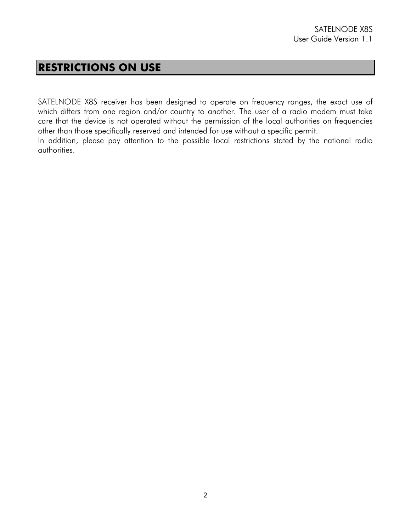### **RESTRICTIONS ON USE**

SATELNODE X8S receiver has been designed to operate on frequency ranges, the exact use of which differs from one region and/or country to another. The user of a radio modem must take care that the device is not operated without the permission of the local authorities on frequencies other than those specifically reserved and intended for use without a specific permit. In addition, please pay attention to the possible local restrictions stated by the national radio authorities.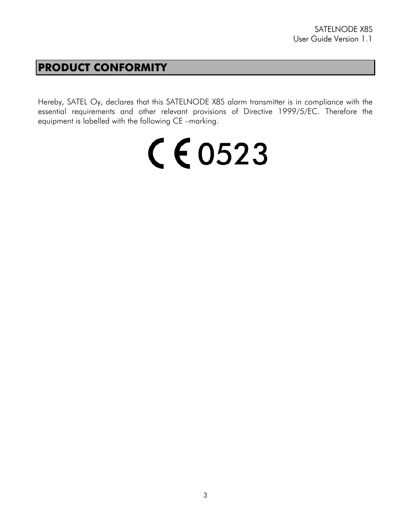## **PRODUCT CONFORMITY**

Hereby, SATEL Oy, declares that this SATELNODE X8S alarm transmitter is in compliance with the essential requirements and other relevant provisions of Directive 1999/5/EC. Therefore the equipment is labelled with the following CE –marking.

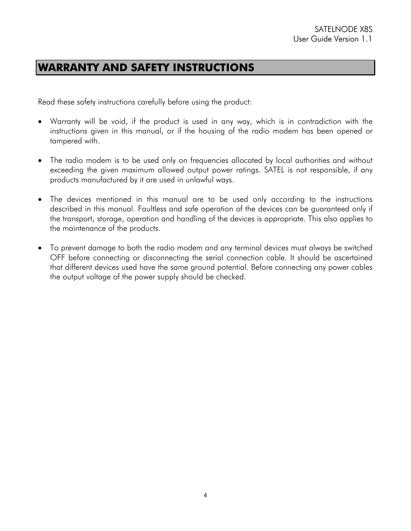## **WARRANTY AND SAFETY INSTRUCTIONS**

Read these safety instructions carefully before using the product:

- Warranty will be void, if the product is used in any way, which is in contradiction with the instructions given in this manual, or if the housing of the radio modem has been opened or tampered with.
- The radio modem is to be used only on frequencies allocated by local authorities and without exceeding the given maximum allowed output power ratings. SATEL is not responsible, if any products manufactured by it are used in unlawful ways.
- The devices mentioned in this manual are to be used only according to the instructions described in this manual. Faultless and safe operation of the devices can be guaranteed only if the transport, storage, operation and handling of the devices is appropriate. This also applies to the maintenance of the products.
- To prevent damage to both the radio modem and any terminal devices must always be switched OFF before connecting or disconnecting the serial connection cable. It should be ascertained that different devices used have the same ground potential. Before connecting any power cables the output voltage of the power supply should be checked.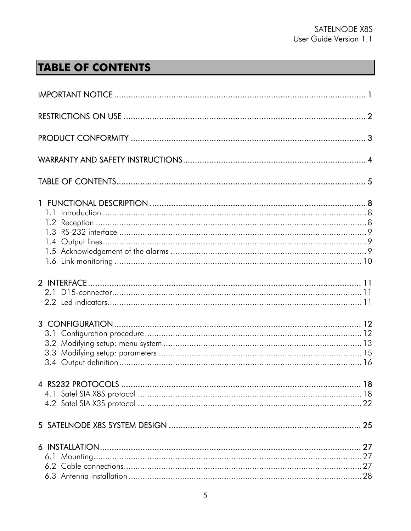# **TABLE OF CONTENTS**

| 2.1 |  |
|-----|--|
|     |  |
|     |  |
|     |  |
|     |  |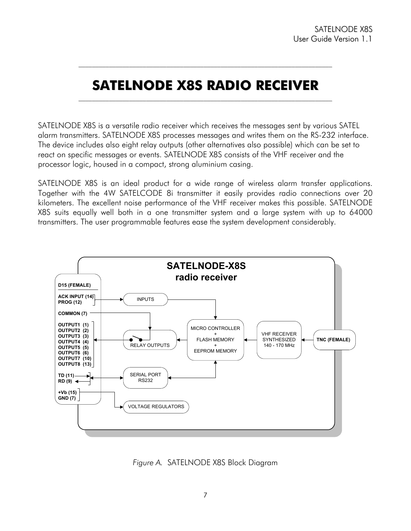### **SATELNODE X8S RADIO RECEIVER**  $\mathcal{L}_\text{max}$

 $\mathcal{L}_\text{max}$ 

SATELNODE X8S is a versatile radio receiver which receives the messages sent by various SATEL alarm transmitters. SATELNODE X8S processes messages and writes them on the RS-232 interface. The device includes also eight relay outputs (other alternatives also possible) which can be set to react on specific messages or events. SATELNODE X8S consists of the VHF receiver and the processor logic, housed in a compact, strong aluminium casing.

SATELNODE X8S is an ideal product for a wide range of wireless alarm transfer applications. Together with the 4W SATELCODE 8i transmitter it easily provides radio connections over 20 kilometers. The excellent noise performance of the VHF receiver makes this possible. SATELNODE X8S suits equally well both in a one transmitter system and a large system with up to 64000 transmitters. The user programmable features ease the system development considerably.



*Figure A.* SATELNODE X8S Block Diagram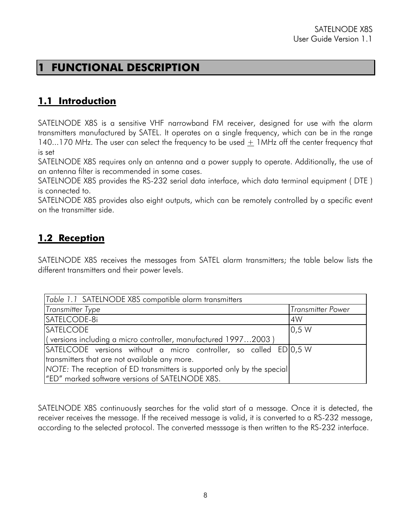## **1 FUNCTIONAL DESCRIPTION**

## **1.1 Introduction**

SATELNODE X8S is a sensitive VHF narrowband FM receiver, designed for use with the alarm transmitters manufactured by SATEL. It operates on a single frequency, which can be in the range 140...170 MHz. The user can select the frequency to be used  $\pm$  1MHz off the center frequency that is set

SATELNODE X8S requires only an antenna and a power supply to operate. Additionally, the use of an antenna filter is recommended in some cases.

SATELNODE X8S provides the RS-232 serial data interface, which data terminal equipment ( DTE ) is connected to.

SATELNODE X8S provides also eight outputs, which can be remotely controlled by a specific event on the transmitter side.

### **1.2 Reception**

SATELNODE X8S receives the messages from SATEL alarm transmitters; the table below lists the different transmitters and their power levels.

| Table 1.1 SATELNODE X8S compatible alarm transmitters                   |                          |
|-------------------------------------------------------------------------|--------------------------|
| <b>Transmitter Type</b>                                                 | <b>Transmitter Power</b> |
| SATELCODE-8i                                                            | 4W                       |
| <b>SATELCODE</b>                                                        | 0.5 W                    |
| (versions including a micro controller, manufactured 19972003)          |                          |
| SATELCODE versions without a micro controller, so called ED 0,5 W       |                          |
| transmitters that are not available any more.                           |                          |
| NOTE: The reception of ED transmitters is supported only by the special |                          |
| "ED" marked software versions of SATELNODE X8S.                         |                          |

SATELNODE X8S continuously searches for the valid start of a message. Once it is detected, the receiver receives the message. If the received message is valid, it is converted to a RS-232 message, according to the selected protocol. The converted messsage is then written to the RS-232 interface.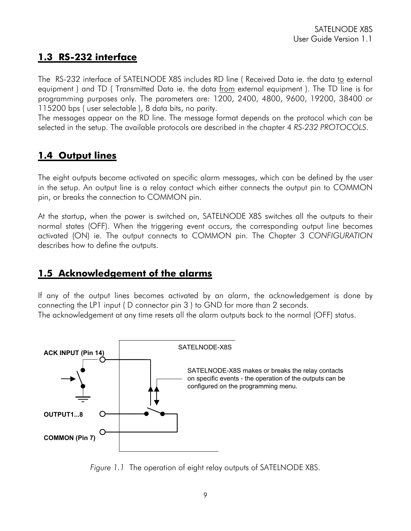#### **1.3 RS-232 interface**

The RS-232 interface of SATELNODE X8S includes RD line ( Received Data ie. the data to external equipment ) and TD ( Transmitted Data ie. the data from external equipment ). The TD line is for programming purposes only. The parameters are: 1200, 2400, 4800, 9600, 19200, 38400 or 115200 bps ( user selectable ), 8 data bits, no parity.

The messages appear on the RD line. The message format depends on the protocol which can be selected in the setup. The available protocols are described in the chapter 4 *RS-232 PROTOCOLS*.

### **1.4 Output lines**

The eight outputs become activated on specific alarm messages, which can be defined by the user in the setup. An output line is a relay contact which either connects the output pin to COMMON pin, or breaks the connection to COMMON pin.

At the startup, when the power is switched on, SATELNODE X8S switches all the outputs to their normal states (OFF). When the triggering event occurs, the corresponding output line becomes activated (ON) ie. The output connects to COMMON pin. The Chapter 3 *CONFIGURATION* describes how to define the outputs.

#### **1.5 Acknowledgement of the alarms**

If any of the output lines becomes activated by an alarm, the acknowledgement is done by connecting the LP1 input ( D connector pin 3 ) to GND for more than 2 seconds. The acknowledgement at any time resets all the alarm outputs back to the normal (OFF) status.



*Figure 1.1* The operation of eight relay outputs of SATELNODE X8S.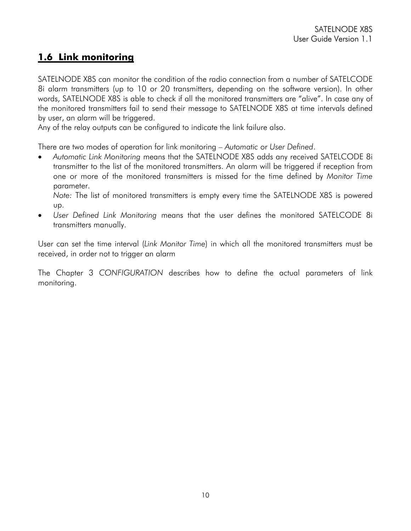### **1.6 Link monitoring**

SATELNODE X8S can monitor the condition of the radio connection from a number of SATELCODE 8i alarm transmitters (up to 10 or 20 transmitters, depending on the software version). In other words, SATELNODE X8S is able to check if all the monitored transmitters are "alive". In case any of the monitored transmitters fail to send their message to SATELNODE X8S at time intervals defined by user, an alarm will be triggered.

Any of the relay outputs can be configured to indicate the link failure also.

There are two modes of operation for link monitoring – *Automatic* or *User Defined*.

• *Automatic Link Monitoring* means that the SATELNODE X8S adds any received SATELCODE 8i transmitter to the list of the monitored transmitters. An alarm will be triggered if reception from one or more of the monitored transmitters is missed for the time defined by *Monitor Time* parameter.

*Note:* The list of monitored transmitters is empty every time the SATELNODE X8S is powered up.

• *User Defined Link Monitoring* means that the user defines the monitored SATELCODE 8i transmitters manually.

User can set the time interval (*Link Monitor Time*) in which all the monitored transmitters must be received, in order not to trigger an alarm

The Chapter 3 *CONFIGURATION* describes how to define the actual parameters of link monitoring.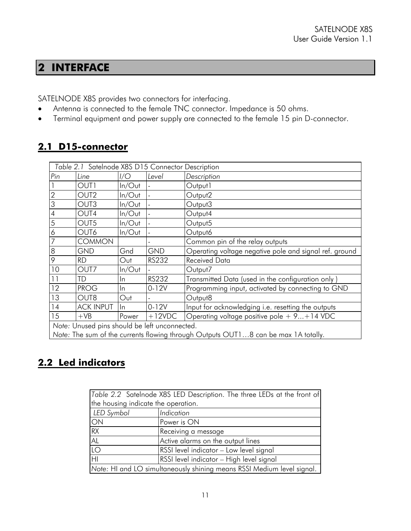## **2 INTERFACE**

SATELNODE X8S provides two connectors for interfacing.

- Antenna is connected to the female TNC connector. Impedance is 50 ohms.
- Terminal equipment and power supply are connected to the female 15 pin D-connector.

### **2.1 D15-connector**

| Table 2.1 Satelnode X8S D15 Connector Description                                  |                  |           |            |                                                        |
|------------------------------------------------------------------------------------|------------------|-----------|------------|--------------------------------------------------------|
| Pin                                                                                | Line             | I/O       | Level      | Description                                            |
| $\mathbf{1}$                                                                       | OUT1             | $ln/O$ ut |            | Output1                                                |
| $\overline{c}$                                                                     | OUT <sub>2</sub> | $ln/O$ ut |            | Output <sub>2</sub>                                    |
| $\overline{3}$                                                                     | OUT <sub>3</sub> | $ln/O$ ut |            | Output3                                                |
| $\overline{4}$                                                                     | OUT4             | $ln/O$ ut |            | Output4                                                |
| $\overline{5}$                                                                     | OUT5             | $ln/O$ ut |            | Output5                                                |
| 6                                                                                  | OUT6             | $ln/O$ ut |            | Output6                                                |
| $\overline{7}$                                                                     | <b>COMMON</b>    |           |            | Common pin of the relay outputs                        |
| 8                                                                                  | <b>GND</b>       | Gnd       | <b>GND</b> | Operating voltage negative pole and signal ref. ground |
| 9                                                                                  | <b>RD</b>        | Out       | RS232      | <b>Received Data</b>                                   |
| 10                                                                                 | OUT7             | $ln/O$ ut |            | Output7                                                |
| 11                                                                                 | TD               | In.       | RS232      | Transmitted Data (used in the configuration only)      |
| 12                                                                                 | <b>PROG</b>      | In.       | $0 - 12V$  | Programming input, activated by connecting to GND      |
| 13                                                                                 | OUT8             | Out       |            | Output8                                                |
| 14                                                                                 | <b>ACK INPUT</b> | ln        | $0 - 12V$  | Input for acknowledging i.e. resetting the outputs     |
| 15                                                                                 | $+VB$            | Power     | $+12VDC$   | Operating voltage positive pole $+9+14$ VDC            |
| Note: Unused pins should be left unconnected.                                      |                  |           |            |                                                        |
| Note: The sum of the currents flowing through Outputs OUT18 can be max 1A totally. |                  |           |            |                                                        |

## **2.2 Led indicators**

|                                     | Table 2.2 Satelnode X8S LED Description. The three LEDs at the front of |
|-------------------------------------|-------------------------------------------------------------------------|
| the housing indicate the operation. |                                                                         |
| LED Symbol                          | Indication                                                              |
| ON                                  | Power is ON                                                             |
| RX                                  | Receiving a message                                                     |
| AL                                  | Active alarms on the output lines                                       |
| $\overline{LO}$                     | RSSI level indicator - Low level signal                                 |
| H <sub>l</sub>                      | RSSI level indicator - High level signal                                |
|                                     | Note: HI and LO simultaneously shining means RSSI Medium level signal.  |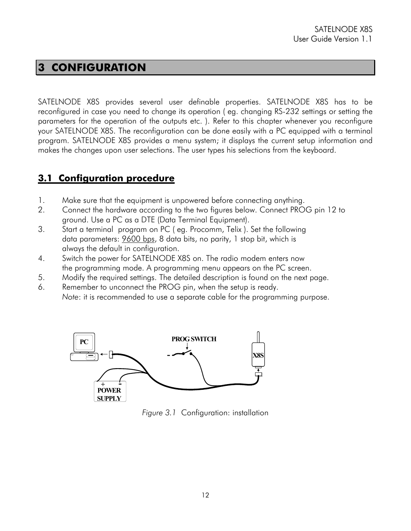## **3 CONFIGURATION**

SATELNODE X8S provides several user definable properties. SATELNODE X8S has to be reconfigured in case you need to change its operation ( eg. changing RS-232 settings or setting the parameters for the operation of the outputs etc. ). Refer to this chapter whenever you reconfigure your SATELNODE X8S. The reconfiguration can be done easily with a PC equipped with a terminal program. SATELNODE X8S provides a menu system; it displays the current setup information and makes the changes upon user selections. The user types his selections from the keyboard.

### **3.1 Configuration procedure**

- 1. Make sure that the equipment is unpowered before connecting anything.
- 2. Connect the hardware according to the two figures below. Connect PROG pin 12 to ground. Use a PC as a DTE (Data Terminal Equipment).
- 3. Start a terminal program on PC ( eg. Procomm, Telix ). Set the following data parameters: 9600 bps, 8 data bits, no parity, 1 stop bit, which is always the default in configuration.
- 4. Switch the power for SATELNODE X8S on. The radio modem enters now the programming mode. A programming menu appears on the PC screen.
- 5. Modify the required settings. The detailed description is found on the next page.
- 6. Remember to unconnect the PROG pin, when the setup is ready. *Note*: it is recommended to use a separate cable for the programming purpose.



*Figure 3.1* Configuration: installation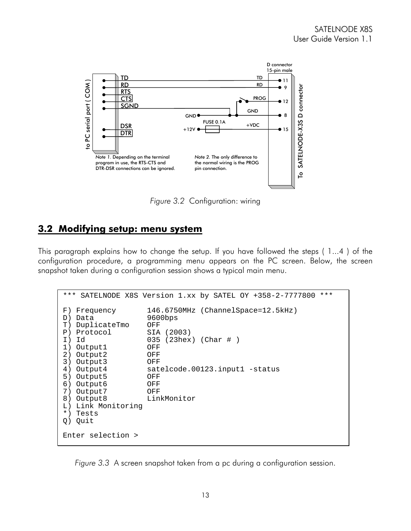

*Figure 3.2* Configuration: wiring

#### **3.2 Modifying setup: menu system**

This paragraph explains how to change the setup. If you have followed the steps ( 1...4 ) of the configuration procedure, a programming menu appears on the PC screen. Below, the screen snapshot taken during a configuration session shows a typical main menu.

```
*** SATELNODE X8S Version 1.xx by SATEL OY +358-2-7777800 *** 
F) Frequency 146.6750MHz (ChannelSpace=12.5kHz)<br>D) Data 9600bps
D) Data
T) DuplicateTmo OFF 
P) Protocol SIA (2003)<br>I) Id 035 (23hex
                      (23hex) (Char # )
1) Output1 OFF 
2) Output2 OFF 
3) Output3 OFF 
4) Output4 satelcode.00123.input1 -status 
5) Output5 OFF 
6) Output6 OFF 
7) Output7
8) Output8 LinkMonitor 
L) Link Monitoring 
*) Tests 
Q) Quit 
Enter selection >
```
*Figure 3.3* A screen snapshot taken from a pc during a configuration session.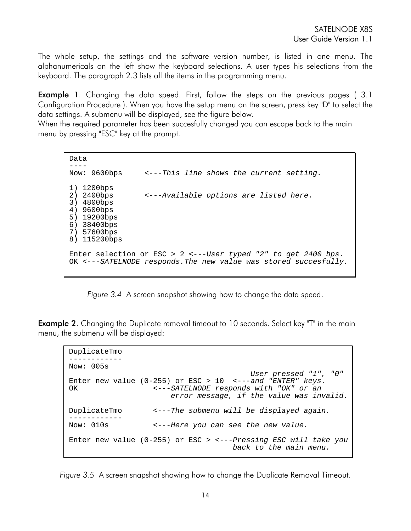The whole setup, the settings and the software version number, is listed in one menu. The alphanumericals on the left show the keyboard selections. A user types his selections from the keyboard. The paragraph 2.3 lists all the items in the programming menu.

**Example 1.** Changing the data speed. First, follow the steps on the previous pages (3.1) Configuration Procedure ). When you have the setup menu on the screen, press key "D" to select the data settings. A submenu will be displayed, see the figure below.

When the required parameter has been succesfully changed you can escape back to the main menu by pressing "ESC" key at the prompt.

```
Data 
---- 
Now: 9600bps <---This line shows the current setting.
1) 1200bps 
2) 2400bps <---Available options are listed here.
3) 4800bps 
4) 9600bps 
5) 19200bps 
6) 38400bps 
7) 57600bps 
8) 115200bps 
Enter selection or ESC > 2 <---User typed "2" to get 2400 bps.
OK <---SATELNODE responds.The new value was stored succesfully.
```
*Figure 3.4* A screen snapshot showing how to change the data speed.

**Example 2.** Changing the Duplicate removal timeout to 10 seconds. Select key "T" in the main menu, the submenu will be displayed:

```
DuplicateTmo 
------------ 
Now: 005s 
                                           User pressed "1", "0"
Enter new value (0-255) or ESC > 10 <---and "ENTER" keys.
OK <---SATELNODE responds with "OK" or an 
                         error message, if the value was invalid.
DuplicateTmo <---The submenu will be displayed again. ------------ 
                   Now: 010s <---Here you can see the new value.
Enter new value (0-255) or ESC > <---Pressing ESC will take you 
                                       back to the main menu.
```
*Figure 3.5* A screen snapshot showing how to change the Duplicate Removal Timeout.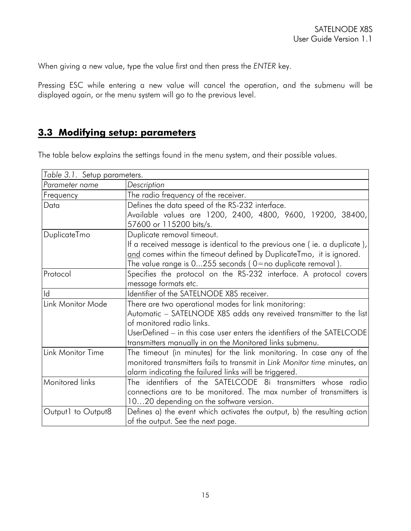When giving a new value, type the value first and then press the *ENTER* key.

Pressing ESC while entering a new value will cancel the operation, and the submenu will be displayed again, or the menu system will go to the previous level.

## **3.3 Modifying setup: parameters**

The table below explains the settings found in the menu system, and their possible values.

| Table 3.1. Setup parameters. |                                                                           |
|------------------------------|---------------------------------------------------------------------------|
| Parameter name               | Description                                                               |
| Frequency                    | The radio frequency of the receiver.                                      |
| Data                         | Defines the data speed of the RS-232 interface.                           |
|                              | Available values are 1200, 2400, 4800, 9600, 19200, 38400,                |
|                              | 57600 or 115200 bits/s.                                                   |
| DuplicateTmo                 | Duplicate removal timeout.                                                |
|                              | If a received message is identical to the previous one (ie. a duplicate), |
|                              | and comes within the timeout defined by DuplicateTmo, it is ignored.      |
|                              | The value range is $0255$ seconds ( $0=$ no duplicate removal).           |
| Protocol                     | Specifies the protocol on the RS-232 interface. A protocol covers         |
|                              | message formats etc.                                                      |
| Id                           | Identifier of the SATELNODE X8S receiver.                                 |
| Link Monitor Mode            | There are two operational modes for link monitoring:                      |
|                              | Automatic - SATELNODE X8S adds any reveived transmitter to the list       |
|                              | of monitored radio links.                                                 |
|                              | UserDefined – in this case user enters the identifiers of the SATELCODE   |
|                              | transmitters manually in on the Monitored links submenu.                  |
| Link Monitor Time            | The timeout (in minutes) for the link monitoring. In case any of the      |
|                              | monitored transmitters fails to transmit in Link Monitor time minutes, an |
|                              | alarm indicating the failured links will be triggered.                    |
| Monitored links              | The identifiers of the SATELCODE 8i transmitters whose radio              |
|                              | connections are to be monitored. The max number of transmitters is        |
|                              | 1020 depending on the software version.                                   |
| Output1 to Output8           | Defines a) the event which activates the output, b) the resulting action  |
|                              | of the output. See the next page.                                         |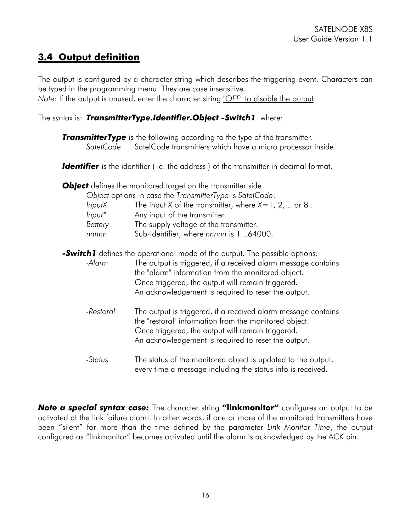### **3.4 Output definition**

The output is configured by a character string which describes the triggering event. Characters can be typed in the programming menu. They are case insensitive.

*Note:* If the output is unused, enter the character string *"OFF"* to disable the output.

#### The syntax is: *TransmitterType.Identifier.Object -Switch1* where:

**TransmitterType** is the following according to the type of the transmitter.  *SatelCode* SatelCode transmitters which have a micro processor inside.

**Identifier** is the identifier (ie. the address) of the transmitter in decimal format.

**Object** defines the monitored target on the transmitter side.

|           | Object options in case the TransmitterType is SatelCode: |
|-----------|----------------------------------------------------------|
| InputX    | The input X of the transmitter, where $X=1, 2,$ or 8.    |
| $Input^*$ | Any input of the transmitter.                            |
| Battery   | The supply voltage of the transmitter.                   |
|           |                                                          |

*nnnnn* Sub-Identifier, where *nnnnn* is 1...64000.

**-Switch1** defines the operational mode of the output. The possible options:

 *-Alarm* The output is triggered, if a received alarm message contains the "alarm" information from the monitored object. Once triggered, the output will remain triggered. An acknowledgement is required to reset the output.

- *-Restoral* The output is triggered, if a received alarm message contains the "restoral" information from the monitored object. Once triggered, the output will remain triggered. An acknowledgement is required to reset the output.
- *-Status* The status of the monitored object is updated to the output, every time a message including the status info is received.

*Note a special syntax case:* The character string **"linkmonitor"** configures an output to be activated at the link failure alarm. In other words, if one or more of the monitored transmitters have been "silent" for more than the time defined by the parameter *Link Monitor Time*, the output configured as "linkmonitor" becomes activated until the alarm is acknowledged by the ACK pin.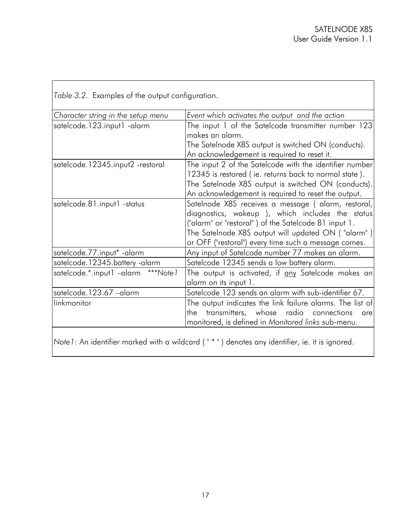|  |  | Table 3.2. Examples of the output configuration. |
|--|--|--------------------------------------------------|
|  |  |                                                  |

| Character string in the setup menu | Event which activates the output and the action           |
|------------------------------------|-----------------------------------------------------------|
| satelcode.123.input1 -alarm        | The input 1 of the Satelcode transmitter number 123       |
|                                    | makes an alarm.                                           |
|                                    | The Satelnode X8S output is switched ON (conducts).       |
|                                    | An acknowledgement is required to reset it.               |
| satelcode.12345.input2 -restoral   | The input 2 of the Satelcode with the identifier number   |
|                                    | 12345 is restored (ie. returns back to normal state).     |
|                                    | The Satelnode X8S output is switched ON (conducts).       |
|                                    | An acknowledgement is required to reset the output.       |
| satelcode.81.input1 -status        | Satelnode X8S receives a message ( alarm, restoral,       |
|                                    | diagnostics, wakeup ), which includes the status          |
|                                    | ("alarm" or "restoral") of the Satelcode 81 input 1.      |
|                                    | The Satelnode X8S output will updated ON ("alarm")        |
|                                    | or OFF ("restoral") every time such a message comes.      |
| satelcode.77.input* - alarm        | Any input of Satelcode number 77 makes an alarm.          |
| satelcode.12345.battery-alarm      | Satelcode 12345 sends a low battery alarm.                |
| satelcode.*.input1 -alarm ***Note1 | The output is activated, if any Satelcode makes an        |
|                                    | alarm on its input 1.                                     |
| satelcode.123.67 -alarm            | Satelcode 123 sends an alarm with sub-identifier 67.      |
| linkmonitor                        | The output indicates the link failure alarms. The list of |
|                                    | transmitters, whose radio connections<br>the<br>are       |
|                                    | monitored, is defined in Monitored links sub-menu.        |
|                                    |                                                           |
|                                    |                                                           |

*Note1:* An identifier marked with a wildcard ( " \* " ) denotes any identifier, ie. it is ignored.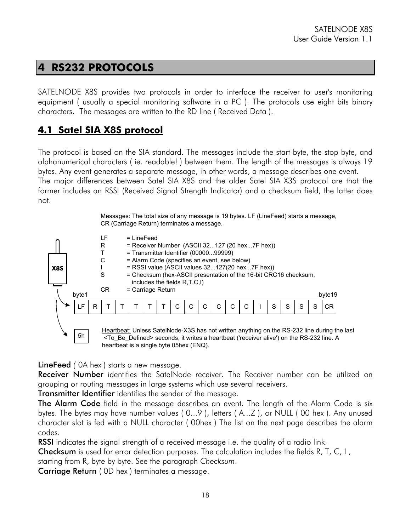## **4 RS232 PROTOCOLS**

SATELNODE X8S provides two protocols in order to interface the receiver to user's monitoring equipment ( usually a special monitoring software in a PC ). The protocols use eight bits binary characters. The messages are written to the RD line ( Received Data ).

### **4.1 Satel SIA X8S protocol**

The protocol is based on the SIA standard. The messages include the start byte, the stop byte, and alphanumerical characters ( ie. readable! ) between them. The length of the messages is always 19 bytes. Any event generates a separate message, in other words, a message describes one event.

The major differences between Satel SIA X8S and the older Satel SIA X3S protocol are that the former includes an RSSI (Received Signal Strength Indicator) and a checksum field, the latter does not.

> Messages: The total size of any message is 19 bytes. LF (LineFeed) starts a message, CR (Carriage Return) terminates a message.



LineFeed *(* 0A hex ) starts a new message.

**Receiver Number** identifies the SatelNode receiver. The Receiver number can be utilized on grouping or routing messages in large systems which use several receivers.

Transmitter Identifier identifies the sender of the message.

The Alarm Code field in the message describes an event. The length of the Alarm Code is six bytes. The bytes may have number values ( 0...9 ), letters ( A...Z ), or NULL ( 00 hex ). Any unused character slot is fed with a NULL character ( 00hex ) The list on the next page describes the alarm codes.

RSSI indicates the signal strength of a received message i.e. the quality of a radio link.

**Checksum** is used for error detection purposes. The calculation includes the fields R, T, C, I, starting from R, byte by byte. See the paragraph *Checksum*.

Carriage Return ( 0D hex ) terminates a message.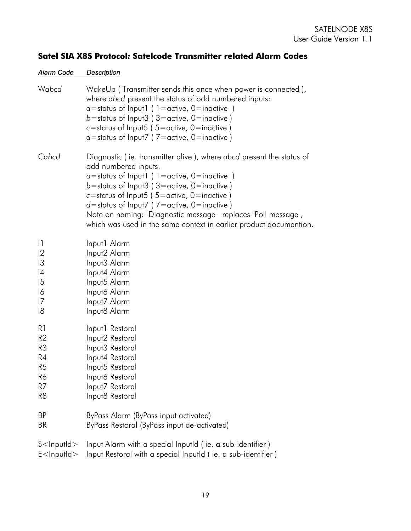## **Satel SIA X8S Protocol: Satelcode Transmitter related Alarm Codes**

#### *Alarm Code Description*

| Wabcd                   | WakeUp (Transmitter sends this once when power is connected),<br>where abcd present the status of odd numbered inputs:<br>$a$ =status of Input1 (1=active, 0=inactive)<br>b=status of Input3 (3=active, 0=inactive)<br>c=status of Input5 ( $5$ =active, 0=inactive)<br>$d$ =status of Input7 (7=active, 0=inactive)                                                                                                               |
|-------------------------|------------------------------------------------------------------------------------------------------------------------------------------------------------------------------------------------------------------------------------------------------------------------------------------------------------------------------------------------------------------------------------------------------------------------------------|
| Cabcd                   | Diagnostic (ie. transmitter alive), where abcd present the status of<br>odd numbered inputs.<br>$a =$ status of Input1 (1=active, 0=inactive)<br>b=status of Input3 (3=active, 0=inactive)<br>c=status of Input5 ( $5$ =active, 0=inactive)<br>$d$ =status of Input7 (7=active, 0=inactive)<br>Note on naming: "Diagnostic message" replaces "Poll message",<br>which was used in the same context in earlier product documention. |
| 1                       | Input1 Alarm                                                                                                                                                                                                                                                                                                                                                                                                                       |
| $ 2\rangle$             | Input2 Alarm                                                                                                                                                                                                                                                                                                                                                                                                                       |
| 3                       | Input3 Alarm                                                                                                                                                                                                                                                                                                                                                                                                                       |
| 4                       | Input4 Alarm                                                                                                                                                                                                                                                                                                                                                                                                                       |
| $\overline{5}$          | Input5 Alarm                                                                                                                                                                                                                                                                                                                                                                                                                       |
| 16                      | Input6 Alarm                                                                                                                                                                                                                                                                                                                                                                                                                       |
| 17                      | Input7 Alarm                                                                                                                                                                                                                                                                                                                                                                                                                       |
| 18                      | Input8 Alarm                                                                                                                                                                                                                                                                                                                                                                                                                       |
| R1                      | Input1 Restoral                                                                                                                                                                                                                                                                                                                                                                                                                    |
| R2                      | Input2 Restoral                                                                                                                                                                                                                                                                                                                                                                                                                    |
| R3                      | Input3 Restoral                                                                                                                                                                                                                                                                                                                                                                                                                    |
| R <sub>4</sub>          | Input4 Restoral                                                                                                                                                                                                                                                                                                                                                                                                                    |
| R <sub>5</sub>          | Input5 Restoral                                                                                                                                                                                                                                                                                                                                                                                                                    |
| R6                      | Inputó Restoral                                                                                                                                                                                                                                                                                                                                                                                                                    |
| R7                      | Input7 Restoral                                                                                                                                                                                                                                                                                                                                                                                                                    |
| R8                      | Input8 Restoral                                                                                                                                                                                                                                                                                                                                                                                                                    |
| <b>BP</b>               | ByPass Alarm (ByPass input activated)                                                                                                                                                                                                                                                                                                                                                                                              |
| BR                      | ByPass Restoral (ByPass input de-activated)                                                                                                                                                                                                                                                                                                                                                                                        |
| $S$ <lnputld></lnputld> | Input Alarm with a special InputId (ie. a sub-identifier)                                                                                                                                                                                                                                                                                                                                                                          |
| $E$ <lnputld></lnputld> | Input Restoral with a special InputId (ie. a sub-identifier)                                                                                                                                                                                                                                                                                                                                                                       |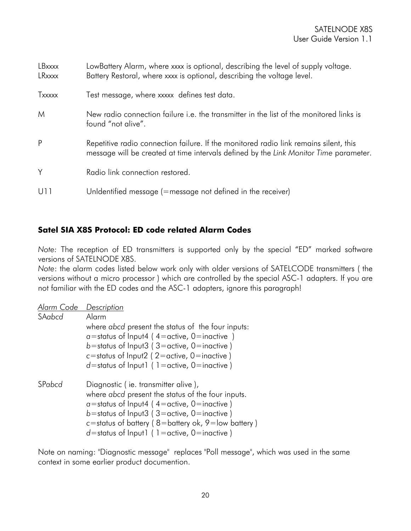| LBxxxx<br>LRxxxx | LowBattery Alarm, where xxxx is optional, describing the level of supply voltage.<br>Battery Restoral, where xxxx is optional, describing the voltage level.                   |
|------------------|--------------------------------------------------------------------------------------------------------------------------------------------------------------------------------|
| Txxxxx           | Test message, where xxxxx defines test data.                                                                                                                                   |
| M                | New radio connection failure i.e. the transmitter in the list of the monitored links is<br>found "not alive".                                                                  |
| P                | Repetitive radio connection failure. If the monitored radio link remains silent, this<br>message will be created at time intervals defined by the Link Monitor Time parameter. |
| Y                | Radio link connection restored.                                                                                                                                                |
| U11              | Unldentified message (=message not defined in the receiver)                                                                                                                    |

#### **Satel SIA X8S Protocol: ED code related Alarm Codes**

*Note:* The reception of ED transmitters is supported only by the special "ED" marked software versions of SATELNODE X8S.

*Note*: the alarm codes listed below work only with older versions of SATELCODE transmitters ( the versions without a micro processor ) which are controlled by the special ASC-1 adapters. If you are not familiar with the ED codes and the ASC-1 adapters, ignore this paragraph!

| Alarm Code | Description                                              |
|------------|----------------------------------------------------------|
| SAabcd     | Alarm                                                    |
|            | where abcd present the status of the four inputs:        |
|            | $\alpha$ =status of Input4 (4=active, 0=inactive)        |
|            | b=status of Input3 ( $3$ =active, 0=inactive)            |
|            | c=status of Input2 (2=active, 0=inactive)                |
|            | $d$ =status of Input1 (1=active, 0=inactive)             |
| SPabcd     | Diagnostic (ie. transmitter alive),                      |
|            | where abcd present the status of the four inputs.        |
|            | $\alpha$ =status of Input4 (4=active, 0=inactive)        |
|            | b=status of Input3 ( $3$ =active, 0=inactive)            |
|            | c=status of battery ( $8$ =battery ok, $9$ =low battery) |
|            | $d$ =status of Input1 (1=active, 0=inactive)             |

Note on naming: "Diagnostic message" replaces "Poll message", which was used in the same context in some earlier product documention.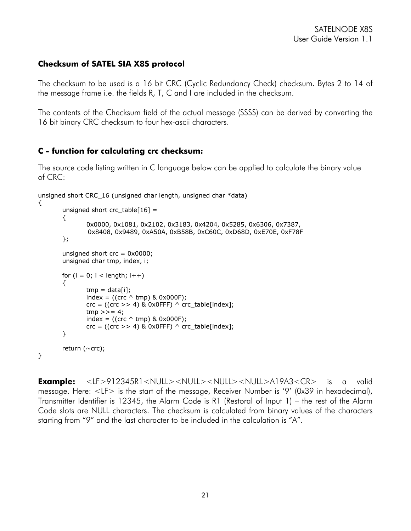#### **Checksum of SATEL SIA X8S protocol**

The checksum to be used is a 16 bit CRC (Cyclic Redundancy Check) checksum. Bytes 2 to 14 of the message frame i.e. the fields R, T, C and I are included in the checksum.

The contents of the Checksum field of the actual message (SSSS) can be derived by converting the 16 bit binary CRC checksum to four hex-ascii characters.

#### **C - function for calculating crc checksum:**

}

The source code listing written in C language below can be applied to calculate the binary value of CRC:

```
unsigned short CRC_16 (unsigned char length, unsigned char *data) 
{
```

```
unsigned short crc_table[16] =
{ 
        0x0000, 0x1081, 0x2102, 0x3183, 0x4204, 0x5285, 0x6306, 0x7387, 
          0x8408, 0x9489, 0xA50A, 0xB58B, 0xC60C, 0xD68D, 0xE70E, 0xF78F 
}; 
unsigned short crc = 0x0000;
unsigned char tmp, index, i; 
for (i = 0; i < length; i++)
{ 
        tmp = data[i];index = ((crc \land tmp) & 0x000F);
        \text{crc} = ((\text{crc} >> 4) \& 0 \times 0FFF) \wedge crc_table[index];
        tmp \gg= 4;index = ((crc \land tmp) & 0x000F);
        \text{crc} = ((\text{crc} >> 4) \& 0 \times 0FFF) \wedge crc_table[index];
} 
return (\simcrc);
```
**Example:** <LF>912345R1<NULL><NULL><NULL><NULL>A19A3<CR> is a valid message. Here: <LF> is the start of the message, Receiver Number is '9' (0x39 in hexadecimal), Transmitter Identifier is 12345, the Alarm Code is R1 (Restoral of Input 1) – the rest of the Alarm Code slots are NULL characters. The checksum is calculated from binary values of the characters starting from "9" and the last character to be included in the calculation is "A".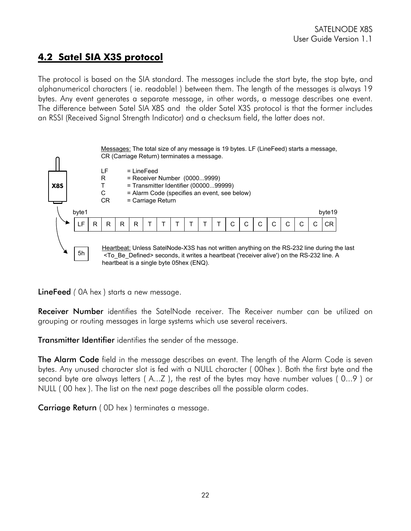### **4.2 Satel SIA X3S protocol**

The protocol is based on the SIA standard. The messages include the start byte, the stop byte, and alphanumerical characters ( ie. readable! ) between them. The length of the messages is always 19 bytes. Any event generates a separate message, in other words, a message describes one event. The difference between Satel SIA X8S and the older Satel X3S protocol is that the former includes an RSSI (Received Signal Strength Indicator) and a checksum field, the latter does not.



LineFeed *(* 0A hex ) starts a new message.

Receiver Number identifies the SatelNode receiver. The Receiver number can be utilized on grouping or routing messages in large systems which use several receivers.

Transmitter Identifier identifies the sender of the message.

**The Alarm Code** field in the message describes an event. The length of the Alarm Code is seven bytes. Any unused character slot is fed with a NULL character ( 00hex ). Both the first byte and the second byte are always letters ( A...Z ), the rest of the bytes may have number values ( 0...9 ) or NULL ( 00 hex ). The list on the next page describes all the possible alarm codes.

Carriage Return ( 0D hex ) terminates a message.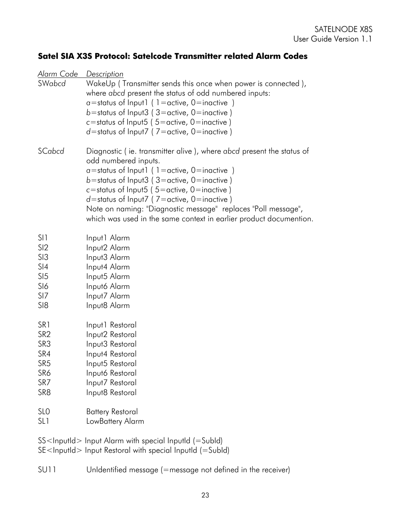#### **Satel SIA X3S Protocol: Satelcode Transmitter related Alarm Codes**

| Alarm Code<br>SWabcd                                                                                                                    | <b>Description</b><br>WakeUp (Transmitter sends this once when power is connected),<br>where abcd present the status of odd numbered inputs:<br>$a$ =status of Input1 (1=active, 0=inactive)<br>b=status of Input3 ( $3$ =active, 0=inactive)<br>c=status of Input5 (5=active, 0=inactive)<br>$d$ =status of Input7 (7=active, 0=inactive)                                                                                            |  |
|-----------------------------------------------------------------------------------------------------------------------------------------|---------------------------------------------------------------------------------------------------------------------------------------------------------------------------------------------------------------------------------------------------------------------------------------------------------------------------------------------------------------------------------------------------------------------------------------|--|
| SCabcd                                                                                                                                  | Diagnostic (ie. transmitter alive), where abcd present the status of<br>odd numbered inputs.<br>$a$ =status of Input1 (1=active, 0=inactive)<br>b=status of Input3 ( $3$ =active, 0=inactive)<br>c=status of Input5 ( $5$ =active, 0=inactive)<br>$d$ =status of Input7 (7=active, 0=inactive)<br>Note on naming: "Diagnostic message" replaces "Poll message",<br>which was used in the same context in earlier product documention. |  |
| SI <sub>1</sub>                                                                                                                         | Input1 Alarm                                                                                                                                                                                                                                                                                                                                                                                                                          |  |
| SI2                                                                                                                                     | Input2 Alarm                                                                                                                                                                                                                                                                                                                                                                                                                          |  |
| SI3                                                                                                                                     | Input3 Alarm                                                                                                                                                                                                                                                                                                                                                                                                                          |  |
| SI4                                                                                                                                     | Input4 Alarm                                                                                                                                                                                                                                                                                                                                                                                                                          |  |
| SI <sub>5</sub>                                                                                                                         | Input5 Alarm                                                                                                                                                                                                                                                                                                                                                                                                                          |  |
| S <sub>16</sub>                                                                                                                         | Input6 Alarm                                                                                                                                                                                                                                                                                                                                                                                                                          |  |
| SI7                                                                                                                                     | Input7 Alarm                                                                                                                                                                                                                                                                                                                                                                                                                          |  |
| SI <sub>8</sub>                                                                                                                         | Input8 Alarm                                                                                                                                                                                                                                                                                                                                                                                                                          |  |
| SR <sub>1</sub>                                                                                                                         | Input1 Restoral                                                                                                                                                                                                                                                                                                                                                                                                                       |  |
| SR <sub>2</sub>                                                                                                                         | Input2 Restoral                                                                                                                                                                                                                                                                                                                                                                                                                       |  |
| SR3                                                                                                                                     | Input3 Restoral                                                                                                                                                                                                                                                                                                                                                                                                                       |  |
| SR4                                                                                                                                     | Input4 Restoral                                                                                                                                                                                                                                                                                                                                                                                                                       |  |
| SR <sub>5</sub>                                                                                                                         | Input5 Restoral                                                                                                                                                                                                                                                                                                                                                                                                                       |  |
| SR6                                                                                                                                     | Inputó Restoral                                                                                                                                                                                                                                                                                                                                                                                                                       |  |
| SR7                                                                                                                                     | Input7 Restoral                                                                                                                                                                                                                                                                                                                                                                                                                       |  |
| SR <sub>8</sub>                                                                                                                         | Input8 Restoral                                                                                                                                                                                                                                                                                                                                                                                                                       |  |
| SL <sub>0</sub>                                                                                                                         | <b>Battery Restoral</b>                                                                                                                                                                                                                                                                                                                                                                                                               |  |
| SL <sub>1</sub>                                                                                                                         | LowBattery Alarm                                                                                                                                                                                                                                                                                                                                                                                                                      |  |
| SS <inputid> Input Alarm with special InputId (=SubId)<br/>SE<inputid> Input Restoral with special InputId (=SubId)</inputid></inputid> |                                                                                                                                                                                                                                                                                                                                                                                                                                       |  |

SU11 UnIdentified message (=message not defined in the receiver)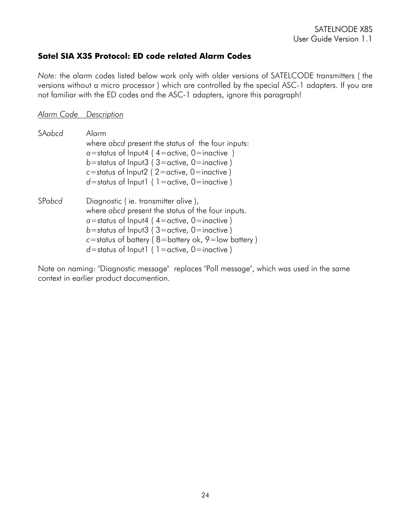#### **Satel SIA X3S Protocol: ED code related Alarm Codes**

*Note*: the alarm codes listed below work only with older versions of SATELCODE transmitters ( the versions without a micro processor ) which are controlled by the special ASC-1 adapters. If you are not familiar with the ED codes and the ASC-1 adapters, ignore this paragraph!

#### *Alarm Code Description*

| SAabcd | Alarm<br>where abcd present the status of the four inputs:<br>$a$ =status of Input4 (4=active, 0=inactive)<br>b=status of Input3 (3=active, 0=inactive)<br>c=status of Input2 ( $2$ =active, 0=inactive)<br>$d$ =status of Input   $($ 1 = active, 0 = inactive )                                            |  |
|--------|--------------------------------------------------------------------------------------------------------------------------------------------------------------------------------------------------------------------------------------------------------------------------------------------------------------|--|
| SPabcd | Diagnostic (ie. transmitter alive),<br>where abcd present the status of the four inputs.<br>$a$ =status of Input4 (4=active, 0=inactive)<br>b=status of Input3 ( $3$ =active, 0=inactive)<br>c=status of battery ( $8$ =battery ok, $9$ =low battery)<br>$d$ =status of Input   ( 1 = active, 0 = inactive ) |  |

Note on naming: "Diagnostic message" replaces "Poll message", which was used in the same context in earlier product documention.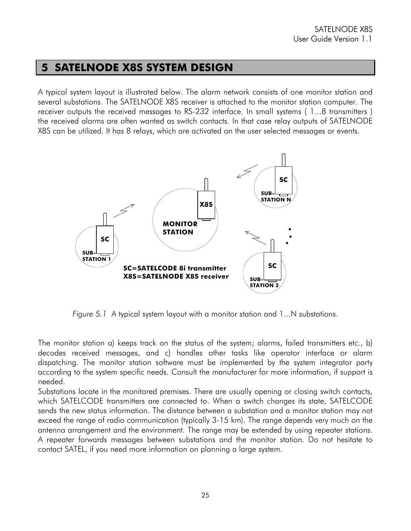#### **5 SATELNODE X8S SYSTEM DESIGN**

A typical system layout is illustrated below. The alarm network consists of one monitor station and several substations. The SATELNODE X8S receiver is attached to the monitor station computer. The receiver outputs the received messages to RS-232 interface. In small systems ( 1...8 transmitters ) the received alarms are often wanted as switch contacts. In that case relay outputs of SATELNODE X8S can be utilized. It has 8 relays, which are activated on the user selected messages or events.



*Figure 5.1* A typical system layout with a monitor station and 1...N substations.

The monitor station a) keeps track on the status of the system; alarms, failed transmitters etc., b) decodes received messages, and c) handles other tasks like operator interface or alarm dispatching. The monitor station software must be implemented by the system integrator party according to the system specific needs. Consult the manufacturer for more information, if support is needed.

Substations locate in the monitored premises. There are usually opening or closing switch contacts, which SATELCODE transmitters are connected to. When a switch changes its state, SATELCODE sends the new status information. The distance between a substation and a monitor station may not exceed the range of radio communication (typically 3-15 km). The range depends very much on the antenna arrangement and the environment. The range may be extended by using repeater stations. A repeater forwards messages between substations and the monitor station. Do not hesitate to contact SATEL, if you need more information on planning a large system.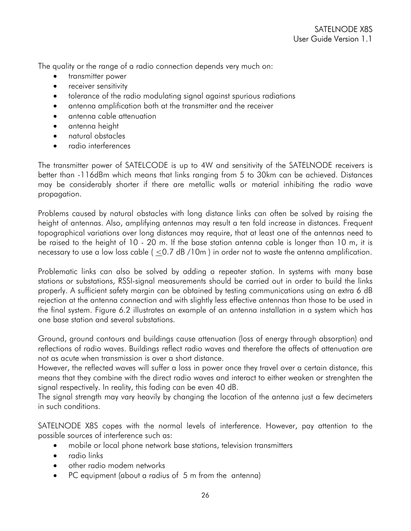The quality or the range of a radio connection depends very much on:

- transmitter power
- receiver sensitivity
- tolerance of the radio modulating signal against spurious radiations
- antenna amplification both at the transmitter and the receiver
- antenna cable attenuation
- antenna height
- natural obstacles
- radio interferences

The transmitter power of SATELCODE is up to 4W and sensitivity of the SATELNODE receivers is better than -116dBm which means that links ranging from 5 to 30km can be achieved. Distances may be considerably shorter if there are metallic walls or material inhibiting the radio wave propagation.

Problems caused by natural obstacles with long distance links can often be solved by raising the height of antennas. Also, amplifying antennas may result a ten fold increase in distances. Frequent topographical variations over long distances may require, that at least one of the antennas need to be raised to the height of 10 - 20 m. If the base station antenna cable is longer than 10 m, it is necessary to use a low loss cable  $($  <0.7 dB /10m ) in order not to waste the antenna amplification.

Problematic links can also be solved by adding a repeater station. In systems with many base stations or substations, RSSI-signal measurements should be carried out in order to build the links properly. A sufficient safety margin can be obtained by testing communications using an extra 6 dB rejection at the antenna connection and with slightly less effective antennas than those to be used in the final system. Figure 6.2 illustrates an example of an antenna installation in a system which has one base station and several substations.

Ground, ground contours and buildings cause attenuation (loss of energy through absorption) and reflections of radio waves. Buildings reflect radio waves and therefore the affects of attenuation are not as acute when transmission is over a short distance.

However, the reflected waves will suffer a loss in power once they travel over a certain distance, this means that they combine with the direct radio waves and interact to either weaken or strenghten the signal respectively. In reality, this fading can be even 40 dB.

The signal strength may vary heavily by changing the location of the antenna just a few decimeters in such conditions.

SATELNODE X8S copes with the normal levels of interference. However, pay attention to the possible sources of interference such as:

- mobile or local phone network base stations, television transmitters
- radio links
- other radio modem networks
- PC equipment (about a radius of 5 m from the antenna)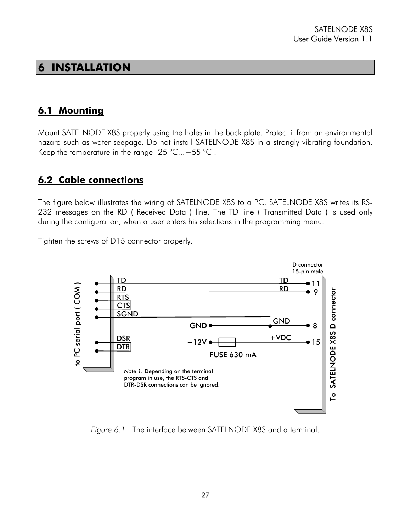### **6 INSTALLATION**

#### **6.1 Mounting**

Mount SATELNODE X8S properly using the holes in the back plate. Protect it from an environmental hazard such as water seepage. Do not install SATELNODE X8S in a strongly vibrating foundation. Keep the temperature in the range -25 °C...+55 °C .

#### **6.2 Cable connections**

The figure below illustrates the wiring of SATELNODE X8S to a PC. SATELNODE X8S writes its RS-232 messages on the RD ( Received Data ) line. The TD line ( Transmitted Data ) is used only during the configuration, when a user enters his selections in the programming menu.

Tighten the screws of D15 connector properly.



*Figure 6.1.* The interface between SATELNODE X8S and a terminal.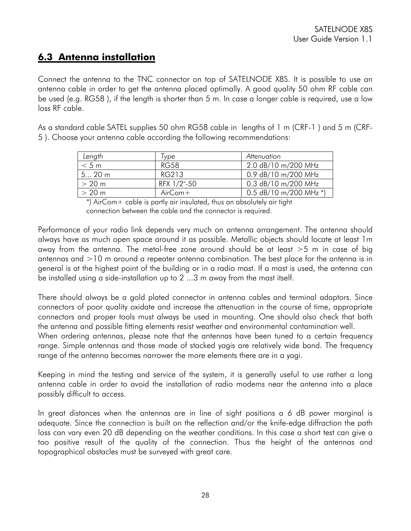### **6.3 Antenna installation**

Connect the antenna to the TNC connector on top of SATELNODE X8S. It is possible to use an antenna cable in order to get the antenna placed optimally. A good quality 50 ohm RF cable can be used (e.g. RG58 ), if the length is shorter than 5 m. In case a longer cable is required, use a low loss RF cable.

As a standard cable SATEL supplies 50 ohm RG58 cable in lengths of 1 m (CRF-1 ) and 5 m (CRF-5 ). Choose your antenna cable according the following recommendations:

| Length  | l vpe       | Attenuation              |
|---------|-------------|--------------------------|
| < 5 m   | RG58        | 2.0 dB/10 m/200 MHz      |
| 5 20 m  | RG213       | 0.9 dB/10 m/200 MHz      |
| > 20 m  | RFX 1/2"-50 | 0.3 dB/10 m/200 MHz      |
| $>20$ m | $AirCom+$   | 0.5 $dB/10$ m/200 MHz *) |

 \*) AirCom+ cable is partly air insulated, thus an absolutely air tight connection between the cable and the connector is required.

Performance of your radio link depends very much on antenna arrangement. The antenna should always have as much open space around it as possible. Metallic objects should locate at least 1m away from the antenna. The metal-free zone around should be at least >5 m in case of big antennas and >10 m around a repeater antenna combination. The best place for the antenna is in general is at the highest point of the building or in a radio mast. If a mast is used, the antenna can be installed using a side-installation up to 2 ...3 m away from the mast itself.

There should always be a gold plated connector in antenna cables and terminal adaptors. Since connectors of poor quality oxidate and increase the attenuation in the course of time, appropriate connectors and proper tools must always be used in mounting. One should also check that both the antenna and possible fitting elements resist weather and environmental contamination well.

When ordering antennas, please note that the antennas have been tuned to a certain frequency range. Simple antennas and those made of stacked yagis are relatively wide band. The frequency range of the antenna becomes narrower the more elements there are in a yagi.

Keeping in mind the testing and service of the system, it is generally useful to use rather a long antenna cable in order to avoid the installation of radio modems near the antenna into a place possibly difficult to access.

In great distances when the antennas are in line of sight positions a 6 dB power marginal is adequate. Since the connection is built on the reflection and/or the knife-edge diffraction the path loss can vary even 20 dB depending on the weather conditions. In this case a short test can give a too positive result of the quality of the connection. Thus the height of the antennas and topographical obstacles must be surveyed with great care.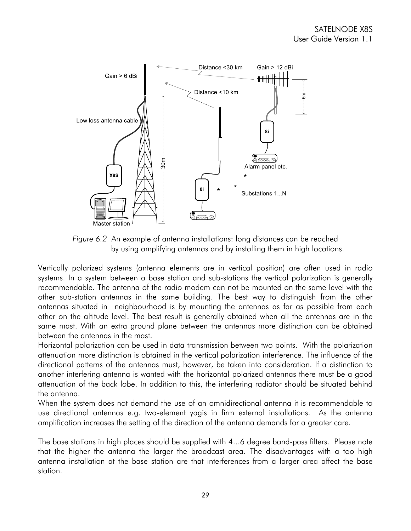

*Figure 6.2* An example of antenna installations: long distances can be reached by using amplifying antennas and by installing them in high locations.

Vertically polarized systems (antenna elements are in vertical position) are often used in radio systems. In a system between a base station and sub-stations the vertical polarization is generally recommendable. The antenna of the radio modem can not be mounted on the same level with the other sub-station antennas in the same building. The best way to distinguish from the other antennas situated in neighbourhood is by mounting the antennas as far as possible from each other on the altitude level. The best result is generally obtained when all the antennas are in the same mast. With an extra ground plane between the antennas more distinction can be obtained between the antennas in the mast.

Horizontal polarization can be used in data transmission between two points. With the polarization attenuation more distinction is obtained in the vertical polarization interference. The influence of the directional patterns of the antennas must, however, be taken into consideration. If a distinction to another interfering antenna is wanted with the horizontal polarized antennas there must be a good attenuation of the back lobe. In addition to this, the interfering radiator should be situated behind the antenna.

When the system does not demand the use of an omnidirectional antenna it is recommendable to use directional antennas e.g. two-element yagis in firm external installations. As the antenna amplification increases the setting of the direction of the antenna demands for a greater care.

The base stations in high places should be supplied with 4...6 degree band-pass filters. Please note that the higher the antenna the larger the broadcast area. The disadvantages with a too high antenna installation at the base station are that interferences from a larger area affect the base station.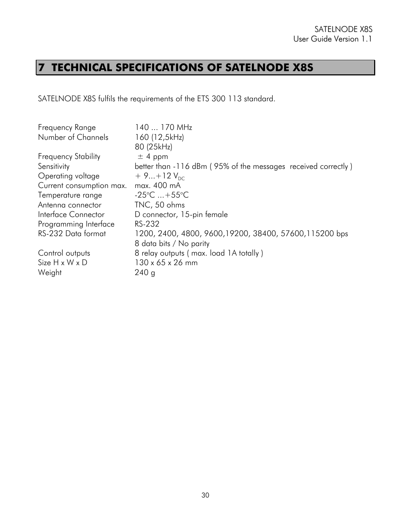# **7 TECHNICAL SPECIFICATIONS OF SATELNODE X8S**

SATELNODE X8S fulfils the requirements of the ETS 300 113 standard.

| Frequency Range            | 140  170 MHz                                                  |
|----------------------------|---------------------------------------------------------------|
| Number of Channels         | 160 (12,5kHz)                                                 |
|                            | 80 (25kHz)                                                    |
| <b>Frequency Stability</b> | $±$ 4 ppm                                                     |
| Sensitivity                | better than -116 dBm (95% of the messages received correctly) |
| Operating voltage          | $+9+12V_{\text{nc}}$                                          |
| Current consumption max.   | max. 400 mA                                                   |
| Temperature range          | $-25^{\circ}$ C  +55 $^{\circ}$ C                             |
| Antenna connector          | TNC, 50 ohms                                                  |
| Interface Connector        | D connector, 15-pin female                                    |
| Programming Interface      | RS-232                                                        |
| RS-232 Data format         | 1200, 2400, 4800, 9600, 19200, 38400, 57600, 115200 bps       |
|                            | 8 data bits / No parity                                       |
| Control outputs            | 8 relay outputs (max. load 1A totally)                        |
| Size H x W x D             | 130 x 65 x 26 mm                                              |
| Weight                     | 240q                                                          |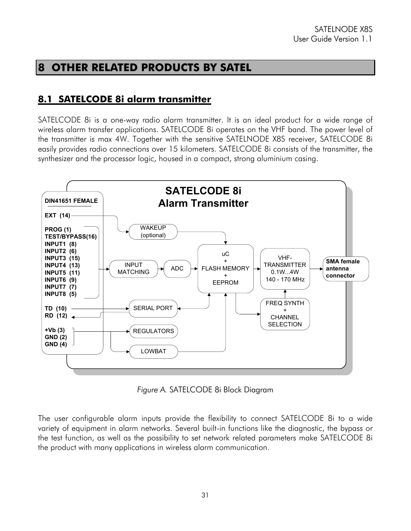## **8 OTHER RELATED PRODUCTS BY SATEL**

#### **8.1 SATELCODE 8i alarm transmitter**

SATELCODE 8i is a one-way radio alarm transmitter. It is an ideal product for a wide range of wireless alarm transfer applications. SATELCODE 8i operates on the VHF band. The power level of the transmitter is max 4W. Together with the sensitive SATELNODE X8S receiver, SATELCODE 8i easily provides radio connections over 15 kilometers. SATELCODE 8i consists of the transmitter, the synthesizer and the processor logic, housed in a compact, strong aluminium casing.



*Figure A.* SATELCODE 8i Block Diagram

The user configurable alarm inputs provide the flexibility to connect SATELCODE 8i to a wide variety of equipment in alarm networks. Several built-in functions like the diagnostic, the bypass or the test function, as well as the possibility to set network related parameters make SATELCODE 8i the product with many applications in wireless alarm communication.